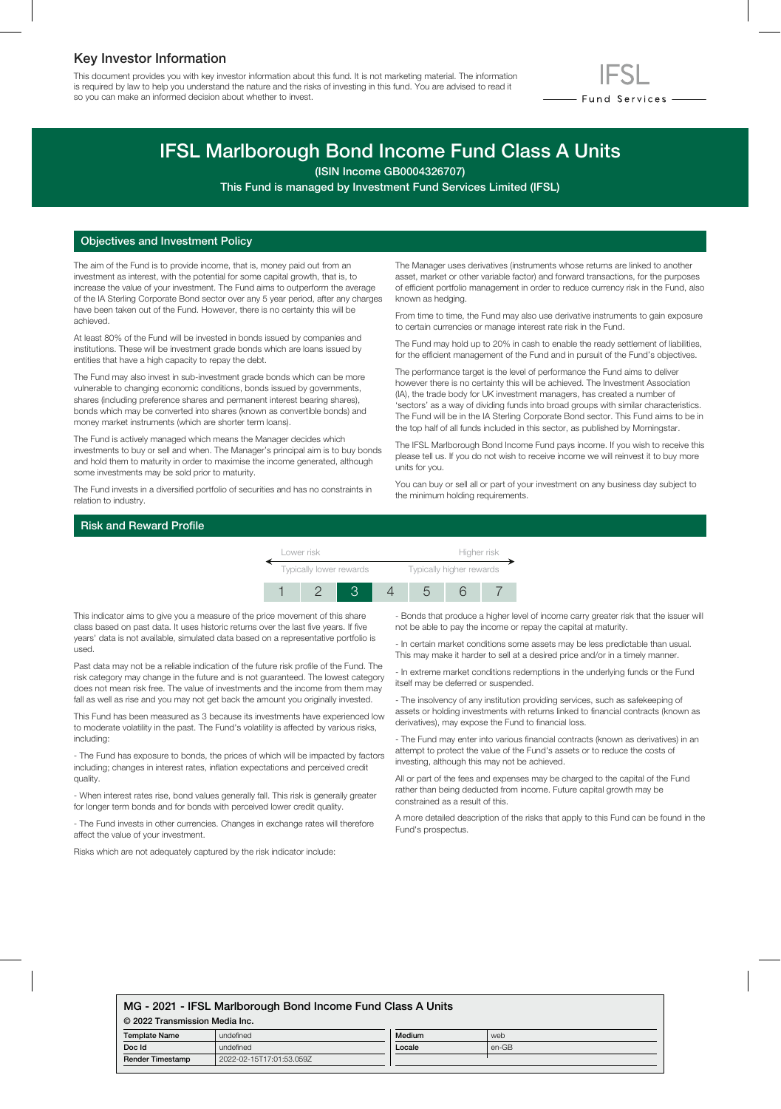## Key Investor Information

This document provides you with key investor information about this fund. It is not marketing material. The information is required by law to help you understand the nature and the risks of investing in this fund. You are advised to read it so you can make an informed decision about whether to invest.



# IFSL Marlborough Bond Income Fund Class A Units

(ISIN Income GB0004326707)

This Fund is managed by Investment Fund Services Limited (IFSL)

#### Objectives and Investment Policy

The aim of the Fund is to provide income, that is, money paid out from an investment as interest, with the potential for some capital growth, that is, to increase the value of your investment. The Fund aims to outperform the average of the IA Sterling Corporate Bond sector over any 5 year period, after any charges have been taken out of the Fund. However, there is no certainty this will be achieved.

At least 80% of the Fund will be invested in bonds issued by companies and institutions. These will be investment grade bonds which are loans issued by entities that have a high capacity to repay the debt.

The Fund may also invest in sub-investment grade bonds which can be more vulnerable to changing economic conditions, bonds issued by governments, shares (including preference shares and permanent interest bearing shares), bonds which may be converted into shares (known as convertible bonds) and money market instruments (which are shorter term loans).

The Fund is actively managed which means the Manager decides which investments to buy or sell and when. The Manager's principal aim is to buy bonds and hold them to maturity in order to maximise the income generated, although some investments may be sold prior to maturity.

The Fund invests in a diversified portfolio of securities and has no constraints in relation to industry.

The Manager uses derivatives (instruments whose returns are linked to another asset, market or other variable factor) and forward transactions, for the purposes of efficient portfolio management in order to reduce currency risk in the Fund, also known as hedging.

From time to time, the Fund may also use derivative instruments to gain exposure to certain currencies or manage interest rate risk in the Fund.

The Fund may hold up to 20% in cash to enable the ready settlement of liabilities, for the efficient management of the Fund and in pursuit of the Fund's objectives.

The performance target is the level of performance the Fund aims to deliver however there is no certainty this will be achieved. The Investment Association (IA), the trade body for UK investment managers, has created a number of 'sectors' as a way of dividing funds into broad groups with similar characteristics. The Fund will be in the IA Sterling Corporate Bond sector. This Fund aims to be in the top half of all funds included in this sector, as published by Morningstar.

The IFSL Marlborough Bond Income Fund pays income. If you wish to receive this please tell us. If you do not wish to receive income we will reinvest it to buy more units for you.

You can buy or sell all or part of your investment on any business day subject to the minimum holding requirements.

#### Risk and Reward Profile



This indicator aims to give you a measure of the price movement of this share class based on past data. It uses historic returns over the last five years. If five years' data is not available, simulated data based on a representative portfolio is used.

Past data may not be a reliable indication of the future risk profile of the Fund. The risk category may change in the future and is not guaranteed. The lowest category does not mean risk free. The value of investments and the income from them may fall as well as rise and you may not get back the amount you originally invested.

This Fund has been measured as 3 because its investments have experienced low to moderate volatility in the past. The Fund's volatility is affected by various risks, including:

- The Fund has exposure to bonds, the prices of which will be impacted by factors including; changes in interest rates, inflation expectations and perceived credit quality.

- When interest rates rise, bond values generally fall. This risk is generally greater for longer term bonds and for bonds with perceived lower credit quality.

- The Fund invests in other currencies. Changes in exchange rates will therefore affect the value of your investment.

Risks which are not adequately captured by the risk indicator include:

- Bonds that produce a higher level of income carry greater risk that the issuer will not be able to pay the income or repay the capital at maturity.

- In certain market conditions some assets may be less predictable than usual. This may make it harder to sell at a desired price and/or in a timely manner.

- In extreme market conditions redemptions in the underlying funds or the Fund itself may be deferred or suspended.

- The insolvency of any institution providing services, such as safekeeping of assets or holding investments with returns linked to financial contracts (known as derivatives), may expose the Fund to financial loss.

- The Fund may enter into various financial contracts (known as derivatives) in an attempt to protect the value of the Fund's assets or to reduce the costs of investing, although this may not be achieved.

All or part of the fees and expenses may be charged to the capital of the Fund rather than being deducted from income. Future capital growth may be constrained as a result of this.

A more detailed description of the risks that apply to this Fund can be found in the Fund's prospectus.